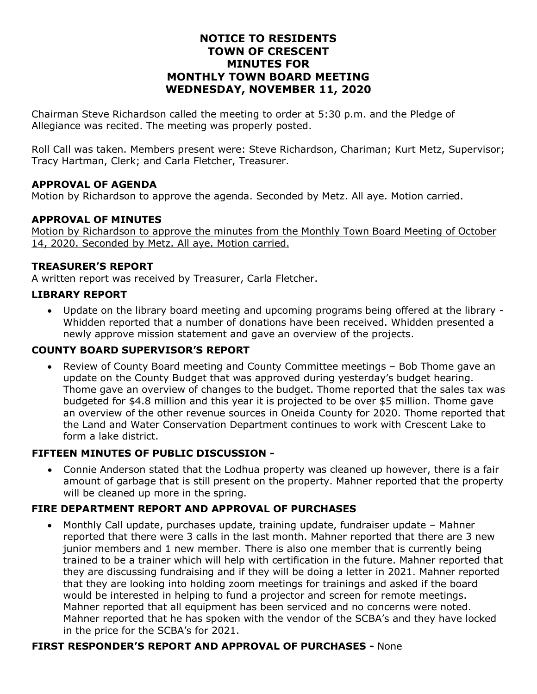# **NOTICE TO RESIDENTS TOWN OF CRESCENT MINUTES FOR MONTHLY TOWN BOARD MEETING WEDNESDAY, NOVEMBER 11, 2020**

Chairman Steve Richardson called the meeting to order at 5:30 p.m. and the Pledge of Allegiance was recited. The meeting was properly posted.

Roll Call was taken. Members present were: Steve Richardson, Chariman; Kurt Metz, Supervisor; Tracy Hartman, Clerk; and Carla Fletcher, Treasurer.

# **APPROVAL OF AGENDA**

Motion by Richardson to approve the agenda. Seconded by Metz. All aye. Motion carried.

#### **APPROVAL OF MINUTES**

Motion by Richardson to approve the minutes from the Monthly Town Board Meeting of October 14, 2020. Seconded by Metz. All aye. Motion carried.

#### **TREASURER'S REPORT**

A written report was received by Treasurer, Carla Fletcher.

### **LIBRARY REPORT**

• Update on the library board meeting and upcoming programs being offered at the library - Whidden reported that a number of donations have been received. Whidden presented a newly approve mission statement and gave an overview of the projects.

### **COUNTY BOARD SUPERVISOR'S REPORT**

• Review of County Board meeting and County Committee meetings – Bob Thome gave an update on the County Budget that was approved during yesterday's budget hearing. Thome gave an overview of changes to the budget. Thome reported that the sales tax was budgeted for \$4.8 million and this year it is projected to be over \$5 million. Thome gave an overview of the other revenue sources in Oneida County for 2020. Thome reported that the Land and Water Conservation Department continues to work with Crescent Lake to form a lake district.

### **FIFTEEN MINUTES OF PUBLIC DISCUSSION -**

• Connie Anderson stated that the Lodhua property was cleaned up however, there is a fair amount of garbage that is still present on the property. Mahner reported that the property will be cleaned up more in the spring.

### **FIRE DEPARTMENT REPORT AND APPROVAL OF PURCHASES**

• Monthly Call update, purchases update, training update, fundraiser update – Mahner reported that there were 3 calls in the last month. Mahner reported that there are 3 new junior members and 1 new member. There is also one member that is currently being trained to be a trainer which will help with certification in the future. Mahner reported that they are discussing fundraising and if they will be doing a letter in 2021. Mahner reported that they are looking into holding zoom meetings for trainings and asked if the board would be interested in helping to fund a projector and screen for remote meetings. Mahner reported that all equipment has been serviced and no concerns were noted. Mahner reported that he has spoken with the vendor of the SCBA's and they have locked in the price for the SCBA's for 2021.

### **FIRST RESPONDER'S REPORT AND APPROVAL OF PURCHASES -** None